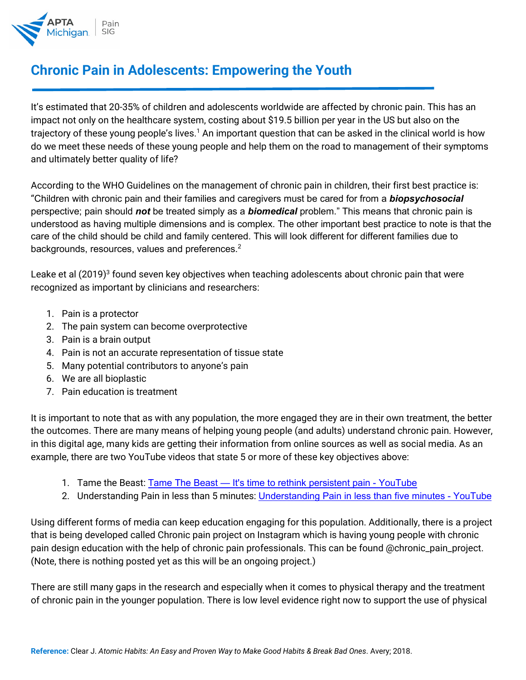

## **Chronic Pain in Adolescents: Empowering the Youth**

It's estimated that 20-35% of children and adolescents worldwide are affected by chronic pain. This has an impact not only on the healthcare system, costing about \$19.5 billion per year in the US but also on the trajectory of these young people's lives.<sup>1</sup> An important question that can be asked in the clinical world is how do we meet these needs of these young people and help them on the road to management of their symptoms and ultimately better quality of life?

According to the WHO Guidelines on the management of chronic pain in children, their first best practice is: "Children with chronic pain and their families and caregivers must be cared for from a *biopsychosocial*  perspective; pain should *not* be treated simply as a *biomedical* problem." This means that chronic pain is understood as having multiple dimensions and is complex. The other important best practice to note is that the care of the child should be child and family centered. This will look different for different families due to backgrounds, resources, values and preferences. $2$ 

Leake et al (2019)<sup>3</sup> found seven key objectives when teaching adolescents about chronic pain that were recognized as important by clinicians and researchers:

- 1. Pain is a protector
- 2. The pain system can become overprotective
- 3. Pain is a brain output
- 4. Pain is not an accurate representation of tissue state
- 5. Many potential contributors to anyone's pain
- 6. We are all bioplastic
- 7. Pain education is treatment

It is important to note that as with any population, the more engaged they are in their own treatment, the better the outcomes. There are many means of helping young people (and adults) understand chronic pain. However, in this digital age, many kids are getting their information from online sources as well as social media. As an example, there are two YouTube videos that state 5 or more of these key objectives above:

- 1. Tame the Beast: Tame The Beast [It's time to rethink persistent pain -](https://www.youtube.com/watch?v=ikUzvSph7Z4) YouTube
- 2. Understanding Pain in less than 5 minutes: [Understanding Pain in less than five minutes -](https://www.youtube.com/watch?v=5KrUL8tOaQs) YouTube

Using different forms of media can keep education engaging for this population. Additionally, there is a project that is being developed called Chronic pain project on Instagram which is having young people with chronic pain design education with the help of chronic pain professionals. This can be found @chronic\_pain\_project. (Note, there is nothing posted yet as this will be an ongoing project.)

There are still many gaps in the research and especially when it comes to physical therapy and the treatment of chronic pain in the younger population. There is low level evidence right now to support the use of physical